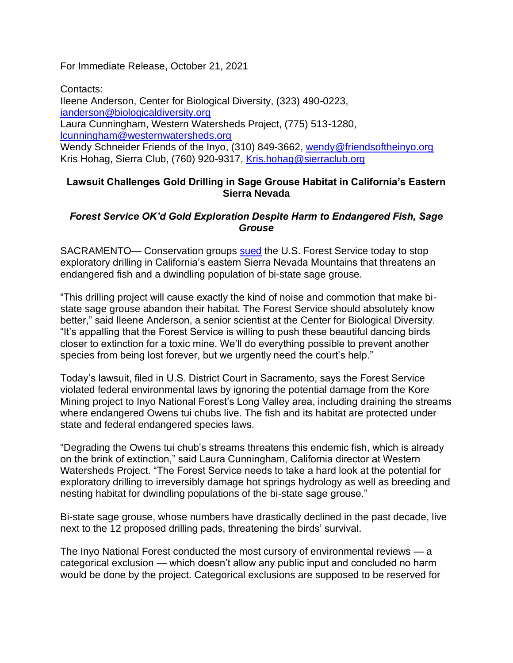For Immediate Release, October 21, 2021

Contacts: Ileene Anderson, Center for Biological Diversity, (323) 490-0223, [ianderson@biologicaldiversity.org](mailto:ianderson@biologicaldiversity.org) Laura Cunningham, Western Watersheds Project, (775) 513-1280, [lcunningham@westernwatersheds.org](mailto:lcunningham@westernwatersheds.org) Wendy Schneider Friends of the Inyo, (310) 849-3662, [wendy@friendsoftheinyo.org](mailto:wendy@friendsoftheinyo.org) Kris Hohag, Sierra Club, (760) 920-9317, [Kris.hohag@sierraclub.org](mailto:Kris.hohag@sierraclub.org)

## **Lawsuit Challenges Gold Drilling in Sage Grouse Habitat in California's Eastern Sierra Nevada**

## *Forest Service OK'd Gold Exploration Despite Harm to Endangered Fish, Sage Grouse*

SACRAMENTO— Conservation groups [sued](https://www.biologicaldiversity.org/programs/public_lands/mining/pdfs/Long-Valley-Exploration-Complaint.pdf) the U.S. Forest Service today to stop exploratory drilling in California's eastern Sierra Nevada Mountains that threatens an endangered fish and a dwindling population of bi-state sage grouse.

"This drilling project will cause exactly the kind of noise and commotion that make bistate sage grouse abandon their habitat. The Forest Service should absolutely know better," said Ileene Anderson, a senior scientist at the Center for Biological Diversity. "It's appalling that the Forest Service is willing to push these beautiful dancing birds closer to extinction for a toxic mine. We'll do everything possible to prevent another species from being lost forever, but we urgently need the court's help."

Today's lawsuit, filed in U.S. District Court in Sacramento, says the Forest Service violated federal environmental laws by ignoring the potential damage from the Kore Mining project to Inyo National Forest's Long Valley area, including draining the streams where endangered Owens tui chubs live. The fish and its habitat are protected under state and federal endangered species laws.

"Degrading the Owens tui chub's streams threatens this endemic fish, which is already on the brink of extinction," said Laura Cunningham, California director at Western Watersheds Project. "The Forest Service needs to take a hard look at the potential for exploratory drilling to irreversibly damage hot springs hydrology as well as breeding and nesting habitat for dwindling populations of the bi-state sage grouse."

Bi-state sage grouse, whose numbers have drastically declined in the past decade, live next to the 12 proposed drilling pads, threatening the birds' survival.

The Inyo National Forest conducted the most cursory of environmental reviews — a categorical exclusion — which doesn't allow any public input and concluded no harm would be done by the project. Categorical exclusions are supposed to be reserved for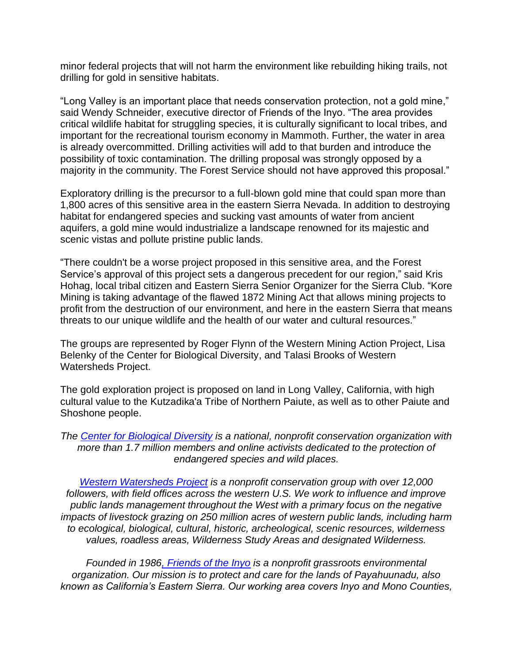minor federal projects that will not harm the environment like rebuilding hiking trails, not drilling for gold in sensitive habitats.

"Long Valley is an important place that needs conservation protection, not a gold mine," said Wendy Schneider, executive director of Friends of the Inyo. "The area provides critical wildlife habitat for struggling species, it is culturally significant to local tribes, and important for the recreational tourism economy in Mammoth. Further, the water in area is already overcommitted. Drilling activities will add to that burden and introduce the possibility of toxic contamination. The drilling proposal was strongly opposed by a majority in the community. The Forest Service should not have approved this proposal."

Exploratory drilling is the precursor to a full-blown gold mine that could span more than 1,800 acres of this sensitive area in the eastern Sierra Nevada. In addition to destroying habitat for endangered species and sucking vast amounts of water from ancient aquifers, a gold mine would industrialize a landscape renowned for its majestic and scenic vistas and pollute pristine public lands.

"There couldn't be a worse project proposed in this sensitive area, and the Forest Service's approval of this project sets a dangerous precedent for our region," said Kris Hohag, local tribal citizen and Eastern Sierra Senior Organizer for the Sierra Club. "Kore Mining is taking advantage of the flawed 1872 Mining Act that allows mining projects to profit from the destruction of our environment, and here in the eastern Sierra that means threats to our unique wildlife and the health of our water and cultural resources."

The groups are represented by Roger Flynn of the Western Mining Action Project, Lisa Belenky of the Center for Biological Diversity, and Talasi Brooks of Western Watersheds Project.

The gold exploration project is proposed on land in Long Valley, California, with high cultural value to the Kutzadika'a Tribe of Northern Paiute, as well as to other Paiute and Shoshone people.

*The [Center for Biological Diversity](https://www.biologicaldiversity.org/) is a national, nonprofit conservation organization with more than 1.7 million members and online activists dedicated to the protection of endangered species and wild places.*

*[Western Watersheds Project](https://www.westernwatersheds.org/) is a nonprofit conservation group with over 12,000 followers, with field offices across the western U.S. We work to influence and improve public lands management throughout the West with a primary focus on the negative impacts of livestock grazing on 250 million acres of western public lands, including harm to ecological, biological, cultural, historic, archeological, scenic resources, wilderness values, roadless areas, Wilderness Study Areas and designated Wilderness.*

*Founded in 198[6, Friends of the Inyo](https://friendsoftheinyo.org/) is a nonprofit grassroots environmental organization. Our mission is to protect and care for the lands of Payahuunadu, also known as California's Eastern Sierra. Our working area covers Inyo and Mono Counties,*